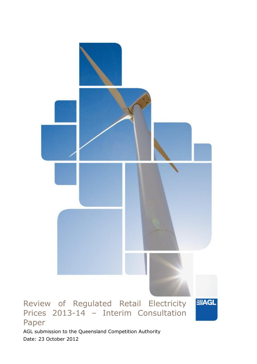

Date: 23 October 2012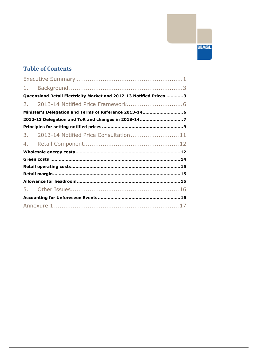# **SIAGL**

# **Table of Contents**

| 1.                                                                 |                                                        |
|--------------------------------------------------------------------|--------------------------------------------------------|
| Queensland Retail Electricity Market and 2012-13 Notified Prices 3 |                                                        |
| 2.                                                                 |                                                        |
|                                                                    | Minister's Delegation and Terms of Reference 2013-14 6 |
|                                                                    | 2012-13 Delegation and ToR and changes in 2013-147     |
|                                                                    |                                                        |
| 3.                                                                 | 2013-14 Notified Price Consultation 11                 |
| 4.                                                                 |                                                        |
|                                                                    |                                                        |
|                                                                    |                                                        |
|                                                                    |                                                        |
|                                                                    |                                                        |
|                                                                    |                                                        |
|                                                                    |                                                        |
|                                                                    |                                                        |
|                                                                    |                                                        |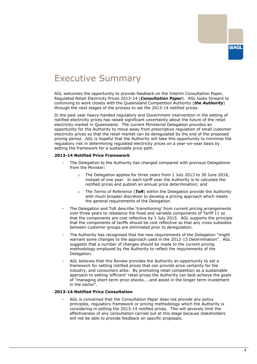# <span id="page-2-0"></span>Executive Summary

AGL welcomes the opportunity to provide feedback on the Interim Consultation Paper, Regulated Retail Electricity Prices 2013-14 (*Consultation Paper*). AGL looks forward to continuing to work closely with the Queensland Competition Authority (*the Authority*) through the next stages of the process to set the 2013-14 notified prices.

In the past year heavy-handed regulatory and Government intervention in the setting of notified electricity prices has raised significant uncertainty about the future of the retail electricity market in Queensland. The current Ministerial Delegation provides an opportunity for the Authority to move away from prescriptive regulation of small customer electricity prices so that the retail market can be deregulated by the end of the proposed pricing period. AGL is hopeful that the Authority will take this opportunity to minimise the regulatory risk in determining regulated electricity prices on a year-on-year basis by setting the framework for a sustainable price path.

#### **2013-14 Notified Price Framework**

- The Delegation to the Authority has changed compared with previous Delegations from the Minister:
	- $\circ$  The Delegation applies for three years from 1 July 2013 to 30 June 2016, instead of one year. In each tariff year the Authority is to calculate the notified prices and publish an annual price determination; and
	- o The Terms of Reference (*ToR*) within the Delegation provide the Authority with much broader discretion to develop a pricing approach which meets the general requirements of the Delegation.
- The Delegation and ToR describe 'transitioning' from current pricing arrangements over three years to rebalance the fixed and variable components of Tariff 11 so that the components are cost reflective by 1 July 2015. AGL supports the principle that the components of tariffs should be cost reflective so that any cross-subsidies between customer groups are eliminated prior to deregulation.
- The Authority has recognised that the new requirements of the Delegation "might warrant some changes to the approach used in the 2012-13 Determination". AGL suggests that a number of changes should be made to the current pricing methodology employed by the Authority to reflect the requirements of the Delegation.
- AGL believes that this Review provides the Authority an opportunity to set a framework for setting notified prices that can provide price certainty for the industry, and consumers alike. By promoting retail competition as a sustainable approach to setting 'efficient' retail prices the Authority can best achieve the goals of "managing short-term price shocks…..and assist in the longer term investment in the sector".

#### **2013-14 Notified Price Consultation**

AGL is concerned that the Consultation Paper does not provide any policy principles, regulatory framework or pricing methodology which the Authority is considering in setting the 2013-14 notified prices. This will severely limit the effectiveness of any consultation carried out at this stage because stakeholders will not be able to provide feedback on specific proposals.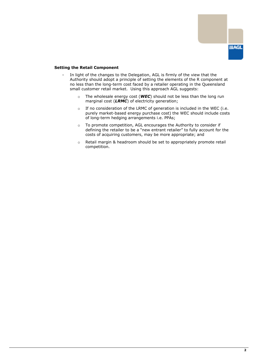

#### **Setting the Retail Component**

- In light of the changes to the Delegation, AGL is firmly of the view that the Authority should adopt a principle of setting the elements of the R component at no less than the long-term cost faced by a retailer operating in the Queensland small customer retail market. Using this approach AGL suggests:
	- o The wholesale energy cost (*WEC*) should not be less than the long run marginal cost (*LRMC*) of electricity generation;
	- o If no consideration of the LRMC of generation is included in the WEC (i.e. purely market-based energy purchase cost) the WEC should include costs of long-term hedging arrangements i.e. PPAs;
	- o To promote competition, AGL encourages the Authority to consider if defining the retailer to be a "new entrant retailer" to fully account for the costs of acquiring customers, may be more appropriate; and
	- o Retail margin & headroom should be set to appropriately promote retail competition.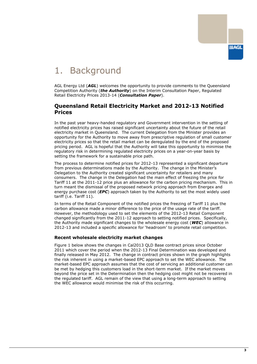

# <span id="page-4-0"></span>1. Background

AGL Energy Ltd (*AGL*) welcomes the opportunity to provide comments to the Queensland Competition Authority (*the Authority*) on the Interim Consultation Paper, Regulated Retail Electricity Prices 2013-14 (*Consultation Paper*).

### <span id="page-4-1"></span>**Queensland Retail Electricity Market and 2012-13 Notified Prices**

In the past year heavy-handed regulatory and Government intervention in the setting of notified electricity prices has raised significant uncertainty about the future of the retail electricity market in Queensland. The current Delegation from the Minister provides an opportunity for the Authority to move away from prescriptive regulation of small customer electricity prices so that the retail market can be deregulated by the end of the proposed pricing period. AGL is hopeful that the Authority will take this opportunity to minimise the regulatory risk in determining regulated electricity prices on a year-on-year basis by setting the framework for a sustainable price path.

The process to determine notified prices for 2012-13 represented a significant departure from previous determinations made by the Authority. The change in the Minister"s Delegation to the Authority created significant uncertainty for retailers and many consumers. The change in the Delegation had the main effect of freezing the price for Tariff 11 at the 2011-12 price plus an allowance for the carbon pricing mechanism. This in turn meant the dismissal of the proposed network pricing approach from Energex and energy purchase cost (*EPC*) approach taken by the Authority to set the most widely used tariff (i.e. Tariff 11).

In terms of the Retail Component of the notified prices the freezing of Tariff 11 plus the carbon allowance made a minor difference to the price of the usage rate of the tariff. However, the methodology used to set the elements of the 2012-13 Retail Component changed significantly from the 2011-12 approach to setting notified prices. Specifically, the Authority made significant changes to the wholesale energy cost (*WEC*) allowance in 2012-13 and included a specific allowance for "headroom" to promote retail competition.

#### **Recent wholesale electricity market changes**

Figure 1 below shows the changes in Cal2013 QLD Base contract prices since October 2011 which cover the period when the 2012-13 Final Determination was developed and finally released in May 2012. The change in contract prices shown in the graph highlights the risk inherent in using a market-based EPC approach to set the WEC allowance. The market-based EPC approach assumes that the cost of servicing an additional customer can be met by hedging this customers load in the short-term market. If the market moves beyond the price set in the Determination then the hedging cost might not be recovered in the regulated tariff. AGL remain of the view that using a long-term approach to setting the WEC allowance would minimise the risk of this occurring.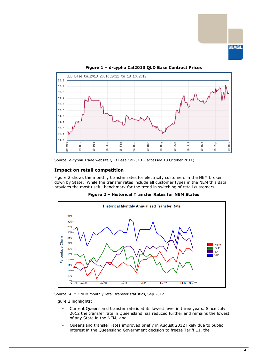



#### **Figure 1 – d-cypha Cal2013 QLD Base Contract Prices**

Source: d-cypha Trade website QLD Base Cal2013 – accessed 18 October 2011)

#### **Impact on retail competition**

Figure 2 shows the monthly transfer rates for electricity customers in the NEM broken down by State. While the transfer rates include all customer types in the NEM this data provides the most useful benchmark for the trend in switching of retail customers.



**Figure 2 – Historical Transfer Rates for NEM States** 

Source: AEMO NEM monthly retail transfer statistics, Sep 2012

Figure 2 highlights:

- Current Queensland transfer rate is at its lowest level in three years. Since July 2012 the transfer rate in Queensland has reduced further and remains the lowest of any State in the NEM; and
- Queensland transfer rates improved briefly in August 2012 likely due to public interest in the Queensland Government decision to freeze Tariff 11, the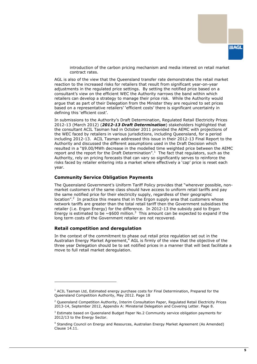

introduction of the carbon pricing mechanism and media interest on retail market contract rates.

AGL is also of the view that the Queensland transfer rate demonstrates the retail market reaction to the increased risks for retailers that result from significant year-on-year adjustments in the regulated price settings. By setting the notified price based on a consultant"s view on the efficient WEC the Authority narrows the band within which retailers can develop a strategy to manage their price risk. While the Authority would argue that as part of their Delegation from the Minister they are required to set prices based on a representative retailers" "efficient costs" there is significant uncertainty in defining this 'efficient cost'.

In submissions to the Authority"s Draft Determination, Regulated Retail Electricity Prices 2012-13 (March 2012) (*2012-13 Draft Determination*) stakeholders highlighted that the consultant ACIL Tasman had in October 2011 provided the AEMC with projections of the WEC faced by retailers in various jurisdictions, including Queensland, for a period including 2012-13. ACIL Tasman addressed this issue in their 2012-13 Final Report to the Authority and discussed the different assumptions used in the Draft Decision which resulted in a "\$9.00/MWh decrease in the modelled time weighted price between the AEMC report and the report for the Draft Determination".<sup>1</sup> The fact that regulators, such as the Authority, rely on pricing forecasts that can vary so significantly serves to reinforce the risks faced by retailer entering into a market where effectively a 'cap' price is reset each year.

#### **Community Service Obligation Payments**

The Queensland Government's Uniform Tariff Policy provides that "wherever possible, nonmarket customers of the same class should have access to uniform retail tariffs and pay the same notified price for their electricity supply, regardless of their geographic location".<sup>2</sup> In practice this means that in the Ergon supply area that customers whose network tariffs are greater than the total retail tariff then the Government subsidises the retailer (i.e. Ergon Energy) for the difference. In 2012-13 the subsidy paid to Ergon Energy is estimated to be  $\sim$  \$600 million.<sup>3</sup> This amount can be expected to expand if the long term costs of the Government retailer are not recovered.

#### **Retail competition and deregulation**

-

In the context of the commitment to phase out retail price regulation set out in the Australian Energy Market Agreement, $4$  AGL is firmly of the view that the objective of the three year Delegation should be to set notified prices in a manner that will best facilitate a move to full retail market deregulation.

 $<sup>1</sup>$  ACIL Tasman Ltd, Estimated energy purchase costs for Final Determination, Prepared for the</sup> Queensland Competition Authority, May 2012. Page 18

<sup>&</sup>lt;sup>2</sup> Queensland Competition Authority, Interim Consultation Paper, Regulated Retail Electricity Prices 2013-14, September 2012, Appendix A: Ministerial Delegation and Covering Letter. Page 8.

 $3$  Estimate based on Queensland Budget Paper No.2 Community service obligation payments for 2012/13 to the Energy Sector.

<sup>4</sup> Standing Council on Energy and Resources, Australian Energy Market Agreement (As Amended) Clause 14.11.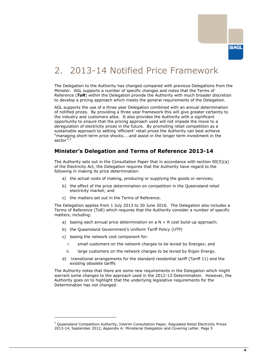# <span id="page-7-0"></span>2. 2013-14 Notified Price Framework

The Delegation to the Authority has changed compared with previous Delegations from the Minister. AGL supports a number of specific changes and notes that the Terms of Reference (*ToR*) within the Delegation provide the Authority with much broader discretion to develop a pricing approach which meets the general requirements of the Delegation.

AGL supports the use of a three year Delegation combined with an annual determination of notified prices. By providing a three year framework this will give greater certainty to the industry and customers alike. It also provides the Authority with a significant opportunity to ensure that the pricing approach used will not impede the move to a deregulation of electricity prices in the future. By promoting retail competition as a sustainable approach to setting "efficient" retail prices the Authority can best achieve "managing short-term price shocks…..and assist in the longer term investment in the sector*".<sup>5</sup>*

## <span id="page-7-1"></span>**Minister's Delegation and Terms of Reference 2013-14**

The Authority sets out in the Consultation Paper that in accordance with section 90(5)(a) of the Electricity Act, the Delegation requires that the Authority have regard to the following in making its price determination:

- a) the actual costs of making, producing or supplying the goods or services;
- b) the effect of the price determination on competition in the Queensland retail electricity market; and
- c) the matters set out in the Terms of Reference.

The Delegation applies from 1 July 2013 to 30 June 2016. The Delegation also includes a Terms of Reference (ToR) which requires that the Authority consider a number of specific matters, including:

- a) basing each annual price determination on  $a \, N + R$  cost build-up approach;
- b) the Queensland Government's Uniform Tariff Policy (UTP)
- c) basing the network cost component for:

-

- i. small customers on the network charges to be levied by Energex; and
- ii. large customers on the network charges to be levied by Ergon Energy.
- d) transitional arrangements for the standard residential tariff (Tariff 11) and the existing obsolete tariffs

The Authority notes that there are some new requirements in the Delegation which might warrant some changes to the approach used in the 2012-13 Determination. However, the Authority goes on to highlight that the underlying legislative requirements for the Determination has not changed.

<sup>5</sup> Queensland Competition Authority, Interim Consultation Paper, Regulated Retail Electricity Prices 2013-14, September 2012, Appendix A: Ministerial Delegation and Covering Letter. Page 5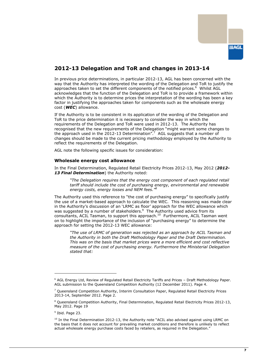

## <span id="page-8-0"></span>**2012-13 Delegation and ToR and changes in 2013-14**

In previous price determinations, in particular 2012-13, AGL has been concerned with the way that the Authority has interpreted the wording of the Delegation and ToR to justify the approaches taken to set the different components of the notified prices.<sup>6</sup> Whilst AGL acknowledges that the function of the Delegation and ToR is to provide a framework within which the Authority is to determine prices the interpretation of the wording has been a key factor in justifying the approaches taken for components such as the wholesale energy cost (*WEC*) allowance.

If the Authority is to be consistent in its application of the wording of the Delegation and ToR to the price determination it is necessary to consider the way in which the requirements of the Delegation and ToR were used in 2012-13. The Authority has recognised that the new requirements of the Delegation "might warrant some changes to the approach used in the 2012-13 Determination".<sup>7</sup> AGL suggests that a number of changes should be made to the current pricing methodology employed by the Authority to reflect the requirements of the Delegation.

AGL note the following specific issues for consideration:

#### **Wholesale energy cost allowance**

In the Final Determination, Regulated Retail Electricity Prices 2012-13, May 2012 (*2012- 13 Final Determination*) the Authority noted:

*"The Delegation requires that the energy cost component of each regulated retail tariff should include the cost of purchasing energy, environmental and renewable energy costs, energy losses and NEM fees."<sup>8</sup>*

The Authority used this reference to "the cost of purchasing energy" to specifically justify the use of a market-based approach to calculate the WEC. This reasoning was made clear in the Authority's discussion of an 'LRMC as floor' approach for the WEC allowance which was suggested by a number of stakeholders.<sup>9</sup> The Authority used advice from its consultants, ACIL Tasman, to support this approach.<sup>10</sup> Furthermore, ACIL Tasman went on to highlight the importance of the inclusion of "purchasing energy" to determine the approach for setting the 2012-13 WEC allowance:

*"The use of LRMC of generation was rejected as an approach by ACIL Tasman and the Authority in both the Draft Methodology Paper and the Draft Determination. This was on the basis that market prices were a more efficient and cost reflective measure of the cost of purchasing energy. Furthermore the Ministerial Delegation stated that:* 

<sup>6</sup> AGL Energy Ltd, Review of Regulated Retail Electricity Tariffs and Prices – Draft Methodology Paper. AGL submission to the Queensland Competition Authority (12 December 2011). Page 4.

 $7$  Queensland Competition Authority, Interim Consultation Paper, Regulated Retail Electricity Prices 2013-14, September 2012. Page 2.

<sup>&</sup>lt;sup>8</sup> Queensland Competition Authority, Final Determination, Regulated Retail Electricity Prices 2012-13, May 2012. Page 19

<sup>&</sup>lt;sup>9</sup> Ibid. Page 23.

<sup>&</sup>lt;sup>10</sup> In the Final Determination 2012-13, the Authority note "ACIL also advised against using LRMC on the basis that it does not account for prevailing market conditions and therefore is unlikely to reflect actual wholesale energy purchase costs faced by retailers, as required in the Delegation."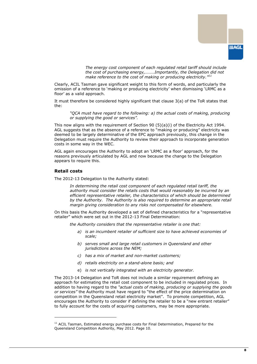

*The energy cost component of each regulated retail tariff should include the cost of purchasing energy,………Importantly, the Delegation did not make reference to the cost of making or producing electricity."<sup>11</sup>*

Clearly, ACIL Tasman gave significant weight to this form of words, and particularly the omission of a reference to "making or producing electricity" when dismissing "LRMC as a floor" as a valid approach.

It must therefore be considered highly significant that clause 3(a) of the ToR states that the:

*"QCA must have regard to the following: a) the actual costs of making, producing or supplying the good or services".*

This now aligns with the requirement of Section 90 (5)(a)(i) of the Electricity Act 1994. AGL suggests that as the absence of a reference to "making or producing" electricity was deemed to be largely determinative of the EPC approach previously, this change in the Delegation must require the Authority to review their approach to incorporate generation costs in some way in the WEC.

AGL again encourages the Authority to adopt an "LRMC as a floor" approach, for the reasons previously articulated by AGL and now because the change to the Delegation appears to require this.

#### **Retail costs**

-

The 2012-13 Delegation to the Authority stated:

*In determining the retail cost component of each regulated retail tariff, the authority must consider the retails costs that would reasonably be incurred by an efficient representative retailer, the characteristics of which should be determined by the Authority. The Authority is also required to determine an appropriate retail margin giving consideration to any risks not compensated for elsewhere.* 

On this basis the Authority developed a set of defined characteristics for a "representative retailer" which were set out in the 2012-13 Final Determination:

*the Authority considers that the representative retailer is one that:* 

- *a) is an incumbent retailer of sufficient size to have achieved economies of scale;*
- *b) serves small and large retail customers in Queensland and other jurisdictions across the NEM;*
- *c) has a mix of market and non-market customers;*
- *d) retails electricity on a stand-alone basis; and*
- e) *is not vertically integrated with an electricity generator.*

The 2013-14 Delegation and ToR does not include a similar requirement defining an approach for estimating the retail cost component to be included in regulated prices. In addition to having regard to the *"actual costs of making, producing or supplying the goods or services"* the Authority must have regard to "the effect of the price determination on competition in the Queensland retail electricity market". To promote competition, AGL encourages the Authority to consider if defining the retailer to be a "new entrant retailer" to fully account for the costs of acquiring customers, may be more appropriate.

<sup>&</sup>lt;sup>11</sup> ACIL Tasman, Estimated energy purchase costs for Final Determination, Prepared for the Queensland Competition Authority, May 2012. Page 10.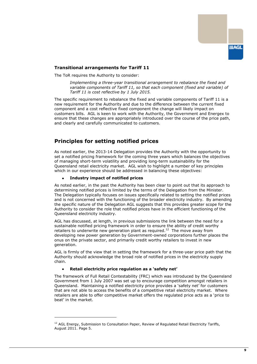

#### **Transitional arrangements for Tariff 11**

The ToR requires the Authority to consider:

*Implementing a three-year transitional arrangement to rebalance the fixed and variable components of Tariff 11, so that each component (fixed and variable) of Tariff 11 is cost reflective by 1 July 2015.* 

The specific requirement to rebalance the fixed and variable components of Tariff 11 is a new requirement for the Authority and due to the difference between the current fixed component and a cost reflective fixed component the change will likely impact on customers bills. AGL is keen to work with the Authority, the Government and Energex to ensure that these changes are appropriately introduced over the course of the price path, and clearly and carefully communicated to customers.

## <span id="page-10-0"></span>**Principles for setting notified prices**

As noted earlier, the 2013-14 Delegation provides the Authority with the opportunity to set a notified pricing framework for the coming three years which balances the objectives of managing short-term volatility and providing long-term sustainability for the Queensland retail electricity market. AGL wish to highlight a number of key principles which in our experience should be addressed in balancing these objectives:

#### **Industry impact of notified prices**

As noted earlier, in the past the Authority has been clear to point out that its approach to determining notified prices is limited by the terms of the Delegation from the Minister. The Delegation typically focuses on issues specifically related to setting the notified prices and is not concerned with the functioning of the broader electricity industry. By amending the specific nature of the Delegation AGL suggests that this provides greater scope for the Authority to consider the role that notified prices have in the efficient functioning of the Queensland electricity industry.

AGL has discussed, at length, in previous submissions the link between the need for a sustainable notified pricing framework in order to ensure the ability of credit worthy retailers to underwrite new generation plant as required.<sup>12</sup> The move away from developing new power generation by Government-owned corporations further places the onus on the private sector, and primarily credit worthy retailers to invest in new generation.

AGL is firmly of the view that in setting the framework for a three-year price path that the Authority should acknowledge the broad role of notified prices in the electricity supply chain.

#### **Retail electricity price regulation as a 'safety net'**

-

The framework of Full Retail Contestability (FRC) which was introduced by the Queensland Government from 1 July 2007 was set up to encourage competition amongst retailers in Queensland. Maintaining a notified electricity price provides a 'safety net' for customers that are not able to access the benefits of a competitive retail electricity market. Where retailers are able to offer competitive market offers the regulated price acts as a "price to beat' in the market.

<sup>&</sup>lt;sup>12</sup> AGL Energy, Submission to Consultation Paper, Review of Regulated Retail Electricity Tariffs, August 2011. Page 5.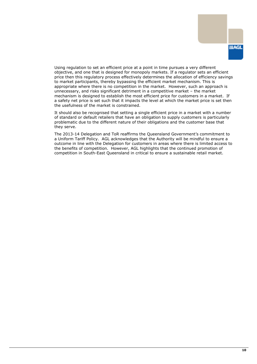Using regulation to set an efficient price at a point in time pursues a very different objective, and one that is designed for monopoly markets. If a regulator sets an efficient price then this regulatory process effectively determines the allocation of efficiency savings to market participants, thereby bypassing the efficient market mechanism. This is appropriate where there is no competition in the market. However, such an approach is unnecessary, and risks significant detriment in a competitive market – the market mechanism is designed to establish the most efficient price for customers in a market. If a safety net price is set such that it impacts the level at which the market price is set then the usefulness of the market is constrained.

It should also be recognised that setting a single efficient price in a market with a number of standard or default retailers that have an obligation to supply customers is particularly problematic due to the different nature of their obligations and the customer base that they serve.

The 2013-14 Delegation and ToR reaffirms the Queensland Government"s commitment to a Uniform Tariff Policy. AGL acknowledges that the Authority will be mindful to ensure a outcome in line with the Delegation for customers in areas where there is limited access to the benefits of competition. However, AGL highlights that the continued promotion of competition in South-East Queensland in critical to ensure a sustainable retail market.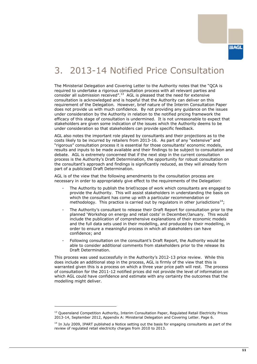# <span id="page-12-0"></span>3. 2013-14 Notified Price Consultation

The Ministerial Delegation and Covering Letter to the Authority notes that the "QCA is required to undertake a rigorous consultation process with all relevant parties and consider all submission received".<sup>13</sup> AGL is pleased that the need for extensive consultation is acknowledged and is hopeful that the Authority can deliver on this requirement of the Delegation. However, brief nature of the Interim Consultation Paper does not provide us with much confidence. By not providing any guidance on the issues under consideration by the Authority in relation to the notified pricing framework the efficacy of this stage of consultation is undermined. It is not unreasonable to expect that stakeholders are given some indication of the issues which the Authority deems to be under consideration so that stakeholders can provide specific feedback.

AGL also notes the important role played by consultants and their projections as to the costs likely to be incurred by retailers from 2013-16. As part of any "extensive" and "rigorous" consultation process it is essential for those consultants" economic models, results and inputs to be made available and their findings to be subject to consultation and debate. AGL is extremely concerned that if the next step in the current consultation process is the Authority"s Draft Determination, the opportunity for robust consultation on the consultant's approach and findings is significantly reduced, as they will already form part of a publicised Draft Determination.

AGL is of the view that the following amendments to the consultation process are necessary in order to appropriately give effect to the requirements of the Delegation:

- The Authority to publish the brief/scope of work which consultants are engaged to provide the Authority. This will assist stakeholders in understanding the basis on which the consultant has come up with a particular recommendation or methodology. This practice is carried out by regulators in other jurisdictions<sup>14</sup>;
- The Authority's consultant to release their Draft Report for consultation prior to the planned "Workshop on energy and retail costs" in December/January. This would include the publication of comprehensive explanations of their economic models and the full data sets used in their modelling, and produced by their modelling, in order to ensure a meaningful process in which all stakeholders can have confidence; and
- Following consultation on the consultant"s Draft Report, the Authority would be able to consider additional comments from stakeholders prior to the release its Draft Determination.

This process was used successfully in the Authority's 2012-13 price review. While this does include an additional step in the process, AGL is firmly of the view that this is warranted given this is a process on which a three year price path will rest. The process of consultation for the 2011-12 notified prices did not provide the level of information on which AGL could have confidence and estimate with any certainty the outcomes that the modelling might deliver.

 $<sup>13</sup>$  Oueensland Competition Authority, Interim Consultation Paper, Regulated Retail Electricity Prices</sup> 2013-14, September 2012, Appendix A: Ministerial Delegation and Covering Letter. Page 6.

 $14$  In July 2009, IPART published a Notice setting out the basis for engaging consultants as part of the review of regulated retail electricity charges from 2010 to 2013.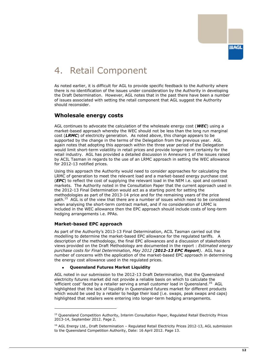

# <span id="page-13-0"></span>4. Retail Component

As noted earlier, it is difficult for AGL to provide specific feedback to the Authority where there is no identification of the issues under consideration by the Authority in developing the Draft Determination. However, AGL notes that in the past there have been a number of issues associated with setting the retail component that AGL suggest the Authority should reconsider.

## <span id="page-13-1"></span>**Wholesale energy costs**

AGL continues to advocate the calculation of the wholesale energy cost (*WEC*) using a market-based approach whereby the WEC should not be less than the long run marginal cost (*LRMC*) of electricity generation. As noted above, this change appears to be supported by the change in the terms of the Delegation from the previous year. AGL again notes that adopting this approach within the three year period of the Delegation would limit short-term volatility in retail prices and provide longer-term certainty for the retail industry. AGL has provided a detailed discussion in Annexure 1 of the issues raised by ACIL Tasman in regards to the use of an LRMC approach in setting the WEC allowance for 2012-13 notified prices.

Using this approach the Authority would need to consider approaches for calculating the LRMC of generation to meet the relevant load and a market-based energy purchase cost (*EPC*) to reflect the cost of supplying the relevant load in the NEM i.e. spot and contract markets. The Authority noted in the Consultation Paper that the current approach used in the 2012-13 Final Determination would act as a starting point for setting the methodologies as part of the 2013-14 price and for the remaining years of the price path.<sup>15</sup> AGL is of the view that there are a number of issues which need to be considered when analysing the short-term contract market, and if no consideration of LRMC is included in the WEC allowance then the EPC approach should include costs of long-term hedging arrangements i.e. PPAs.

#### **Market-based EPC approach**

-

As part of the Authority"s 2013-13 Final Determination, ACIL Tasman carried out the modelling to determine the market-based EPC allowance for the regulated tariffs. A description of the methodology, the final EPC allowances and a discussion of stakeholders views provided on the Draft Methodology are documented in the report : *Estimated energy purchase costs for Final Determination, May 2012 (2012-13 EPC Report)*. AGL has a number of concerns with the application of the market-based EPC approach in determining the energy cost allowance used in the regulated prices.

#### **Queensland Futures Market Liquidity**

AGL noted in our submission to the 2012-13 Draft Determination, that the Queensland electricity futures market did not provide a reliable basis on which to calculate the 'efficient cost' faced by a retailer serving a small customer load in Queensland.<sup>16</sup> AGL highlighted that the lack of liquidity in Queensland futures market for different products which would be used by a retailer to hedge their load (i.e. swaps, peak swaps and caps) highlighted that retailers were entering into longer-term hedging arrangements.

<sup>&</sup>lt;sup>15</sup> Queensland Competition Authority, Interim Consultation Paper, Regulated Retail Electricity Prices 2013-14, September 2012. Page 2.

<sup>&</sup>lt;sup>16</sup> AGL Energy Ltd., Draft Determination - Regulated Retail Electricity Prices 2012-13, AGL submission to the Queensland Competition Authority, Date: 16 April 2012. Page 13.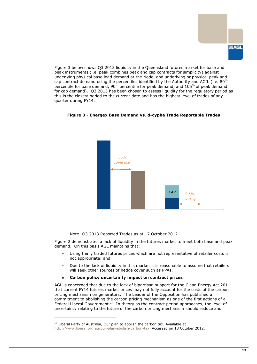Figure 3 below shows Q3 2013 liquidity in the Queensland futures market for base and peak instruments (i.e. peak combines peak and cap contracts for simplicity) against underlying physical base load demand at the Node, and underlying or physical peak and cap contract demand using the percentiles identified by the Authority and ACIL (i.e.  $80<sup>th</sup>$ percentile for base demand,  $90<sup>th</sup>$  percentile for peak demand, and  $105<sup>th</sup>$  of peak demand for cap demand). Q3 2013 has been chosen to assess liquidity for the regulatory period as this is the closest period to the current date and has the highest level of trades of any quarter during FY14.





Note: Q3 2013 Reported Trades as at 17 October 2012

Figure 2 demonstrates a lack of liquidity in the futures market to meet both base and peak demand. On this basis AGL maintains that:

- Using thinly traded futures prices which are not representative of retailer costs is not appropriate; and
- Due to the lack of liquidity in this market it is reasonable to assume that retailers will seek other sources of hedge cover such as PPAs.
- **Carbon policy uncertainty impact on contract prices**

AGL is concerned that due to the lack of bipartisan support for the Clean Energy Act 2011 that current FY14 futures market prices may not fully account for the costs of the carbon pricing mechanism on generators. The Leader of the Opposition has published a commitment to abolishing the carbon pricing mechanism as one of the first actions of a Federal Liberal Government.<sup>17</sup> In theory as the contract period approaches, the level of uncertainty relating to the future of the carbon pricing mechanism should reduce and

 $17$  Liberal Party of Australia, Our plan to abolish the carbon tax. Available at [http://www.liberal.org.au/our-plan-abolish-carbon-tax.](http://www.liberal.org.au/our-plan-abolish-carbon-tax) Accessed on 18 October 2012.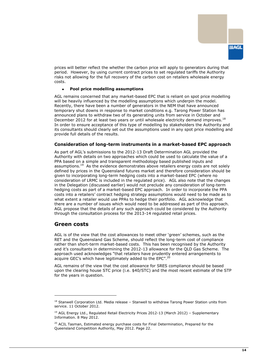

prices will better reflect the whether the carbon price will apply to generators during that period. However, by using current contract prices to set regulated tariffs the Authority risks not allowing for the full recovery of the carbon cost on retailers wholesale energy costs.

#### **Pool price modelling assumptions**   $\bullet$

AGL remains concerned that any market-based EPC that is reliant on spot price modelling will be heavily influenced by the modelling assumptions which underpin the model. Recently, there have been a number of generators in the NEM that have announced temporary shut downs in response to market conditions e.g. Tarong Power Station has announced plans to withdraw two of its generating units from service in October and December 2012 for at least two years or until wholesale electricity demand improves.<sup>18</sup> In order to ensure acceptance of this type of modelling by stakeholders the Authority and its consultants should clearly set out the assumptions used in any spot price modelling and provide full details of the results.

#### **Consideration of long-term instruments in a market-based EPC approach**

As part of AGL"s submissions to the 2012-13 Draft Determination AGL provided the Authority with details on two approaches which could be used to calculate the value of a PPA based on a simple and transparent methodology based published inputs and assumptions.<sup>19</sup> As the evidence demonstrates above retailers energy costs are not solely defined by prices in the Queensland futures market and therefore consideration should be given to incorporating long-term hedging costs into a market-based EPC (where no consideration of LRMC is included in the regulated price). AGL also note that the changes in the Delegation (discussed earlier) would not preclude any consideration of long-term hedging costs as part of a market-based EPC approach. In order to incorporate the PPA costs into a retailers" contract hedging strategy assumptions would need to be made as to what extent a retailer would use PPAs to hedge their portfolio. AGL acknowledge that there are a number of issues which would need to be addressed as part of this approach. AGL propose that the details of any such approach could be considered by the Authority through the consultation process for the 2013-14 regulated retail prices.

#### <span id="page-15-0"></span>**Green costs**

-

AGL is of the view that the cost allowances to meet other "green" schemes, such as the RET and the Queensland Gas Scheme, should reflect the long-term cost of compliance rather than short-term market-based costs. This has been recognised by the Authority and it"s consultants in determining the 2012-13 allowance for the QLD Gas Scheme. The approach used acknowledges "that retailers have prudently entered arrangements to acquire GEC's which have legitimately added to the EPC".<sup>20</sup>

AGL remains of the view that the cost allowance for SRES compliance should be based upon the clearing house STC price (i.e. \$40/STC) and the most recent estimate of the STP for the years in question.

<sup>&</sup>lt;sup>18</sup> Stanwell Corporation Ltd. Media release - Stanwell to withdraw Tarong Power Station units from service. 11 October 2012.

 $19$  AGL Energy Ltd., Regulated Retail Electricity Prices 2012-13 (March 2012) - Supplementary Information. 8 May 2012.

<sup>&</sup>lt;sup>20</sup> ACIL Tasman, Estimated energy purchase costs for Final Determination, Prepared for the Queensland Competition Authority, May 2012. Page 22.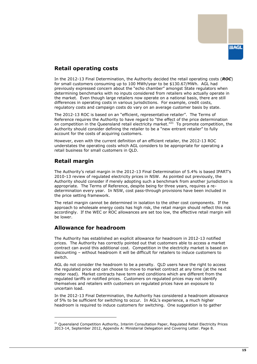

## <span id="page-16-0"></span>**Retail operating costs**

In the 2012-13 Final Determination, the Authority decided the retail operating costs (*ROC*) for small customers consuming up to 100 MWh/year to be \$130.67/MWh. AGL had previously expressed concern about the "echo chamber" amongst State regulators when determining benchmarks with no inputs considered from retailers who actually operate in the market. Even though large retailers now operate on a national basis, there are still differences in operating costs in various jurisdictions. For example, credit costs, regulatory costs and campaign costs do vary on an average customer basis by state.

The 2012-13 ROC is based on an "efficient, representative retailer". The Terms of Reference requires the Authority to have regard to "the effect of the price determination on competition in the Queensland retail electricity market.<sup>"21</sup> To promote competition, the Authority should consider defining the retailer to be a "new entrant retailer" to fully account for the costs of acquiring customers.

However, even with the current definition of an efficient retailer, the 2012-13 ROC understates the operating costs which AGL considers to be appropriate for operating a retail business for small customers in QLD.

# <span id="page-16-1"></span>**Retail margin**

-

The Authority"s retail margin in the 2012-13 Final Determination of 5.4% is based IPART"s 2010-13 review of regulated electricity prices in NSW. As pointed out previously, the Authority should consider if merely adopting such a benchmark from another jurisdiction is appropriate. The Terms of Reference, despite being for three years, requires a redetermination every year. In NSW, cost pass-through provisions have been included in the price setting framework.

The retail margin cannot be determined in isolation to the other cost components. If the approach to wholesale energy costs has high risk, the retail margin should reflect this risk accordingly. If the WEC or ROC allowances are set too low, the effective retail margin will be lower.

## <span id="page-16-2"></span>**Allowance for headroom**

The Authority has established an explicit allowance for headroom in 2012-13 notified prices. The Authority has correctly pointed out that customers able to access a market contract can avoid this additional cost. Competition in the electricity market is based on discounting – without headroom it will be difficult for retailers to induce customers to switch.

AGL do not consider the headroom to be a penalty. QLD users have the right to access the regulated price and can choose to move to market contract at any time (at the next meter read). Market contracts have term and conditions which are different from the regulated tariffs or notified prices. Customers on regulated prices may not identify themselves and retailers with customers on regulated prices have an exposure to uncertain load.

In the 2012-13 Final Determination, the Authority has considered a headroom allowance of 5% to be sufficient for switching to occur. In AGL"s experience, a much higher headroom is required to induce customers for switching. One suggestion is to gather

<sup>&</sup>lt;sup>21</sup> Oueensland Competition Authority, Interim Consultation Paper, Regulated Retail Electricity Prices 2013-14, September 2012, Appendix A: Ministerial Delegation and Covering Letter. Page 8.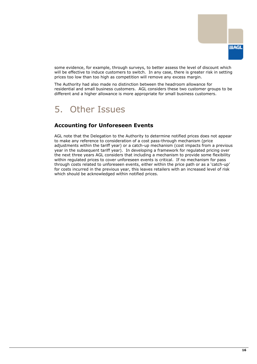

some evidence, for example, through surveys, to better assess the level of discount which will be effective to induce customers to switch. In any case, there is greater risk in setting prices too low than too high as competition will remove any excess margin.

The Authority had also made no distinction between the headroom allowance for residential and small business customers. AGL considers these two customer groups to be different and a higher allowance is more appropriate for small business customers.

# <span id="page-17-0"></span>5. Other Issues

## <span id="page-17-1"></span>**Accounting for Unforeseen Events**

AGL note that the Delegation to the Authority to determine notified prices does not appear to make any reference to consideration of a cost pass-through mechanism (price adjustments within the tariff year) or a catch-up mechanism (cost impacts from a previous year in the subsequent tariff year). In developing a framework for regulated pricing over the next three years AGL considers that including a mechanism to provide some flexibility within regulated prices to cover unforeseen events is critical. If no mechanism for pass through costs related to unforeseen events, either within the price path or as a "catch-up" for costs incurred in the previous year, this leaves retailers with an increased level of risk which should be acknowledged within notified prices.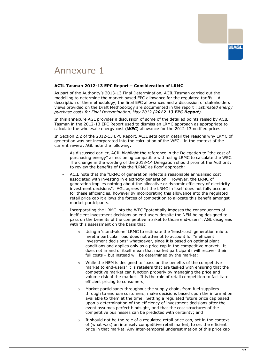

# <span id="page-18-0"></span>Annexure 1

#### **ACIL Tasman 2012-13 EPC Report – Consideration of LRMC**

As part of the Authority"s 2013-13 Final Determination, ACIL Tasman carried out the modelling to determine the market-based EPC allowance for the regulated tariffs. A description of the methodology, the final EPC allowances and a discussion of stakeholders views provided on the Draft Methodology are documented in the report : *Estimated energy purchase costs for Final Determination, May 2012 (2012-13 EPC Report)*.

In this annexure AGL provides a discussion of some of the detailed points raised by ACIL Tasman in the 2012-13 EPC Report used to dismiss an LRMC approach as appropriate to calculate the wholesale energy cost (*WEC*) allowance for the 2012-13 notified prices.

In Section 2.2 of the 2012-13 EPC Report, ACIL sets out in detail the reasons why LRMC of generation was not incorporated into the calculation of the WEC. In the context of the current review, AGL note the following:

- As discussed earlier, ACIL highlight the reference in the Delegation to "the cost of purchasing energy" as not being compatible with using LRMC to calculate the WEC. The change in the wording of the 2013-14 Delegation should prompt the Authority to review the benefits of this the "LRMC as floor" approach;
- ACIL note that the "LRMC of generation reflects a reasonable annualised cost associated with investing in electricity generation. However, the LRMC of generation implies nothing about the allocative or dynamic efficiency of electricity investment decisions". AGL agrees that the LRMC in itself does not fully account for these efficiencies, however by incorporating this allowance into the regulated retail price cap it allows the forces of competition to allocate this benefit amongst market participants.
- Incorporating the LRMC into the WEC "potentially imposes the consequences of inefficient investment decisions on end-users despite the NEM being designed to pass on the benefits of the competitive market to those end-users". AGL disagrees with this assessment on the basis that:
	- Using a 'stand-alone' LRMC to estimate the 'least-cost' generation mix to meet a particular load does not attempt to account for "inefficient investment decisions" whatsoever, since it is based on optimal plant conditions and applies only as a price cap in the competitive market. It does not in and of itself mean that market participants will recover their full costs – but instead will be determined by the market;
	- o While the NEM is designed to "pass on the benefits of the competitive market to end-users" it is retailers that are tasked with ensuring that the competitive market can function properly by managing the price and volume risk of the market. It is the role of retail competition to facilitate efficient pricing to consumers;
	- o Market participants throughout the supply chain, from fuel suppliers through to end use customers, make decisions based upon the information available to them at the time. Setting a regulated future price cap based upon a determination of the efficiency of investment decisions after the event assumes perfect hindsight, and that the cost structures of the competitive businesses can be predicted with certainty; and
	- $\circ$  It should not be the role of a regulated retail price cap, set in the context of (what was) an intensely competitive retail market, to set the efficient price in that market. Any inter-temporal underestimation of this price cap